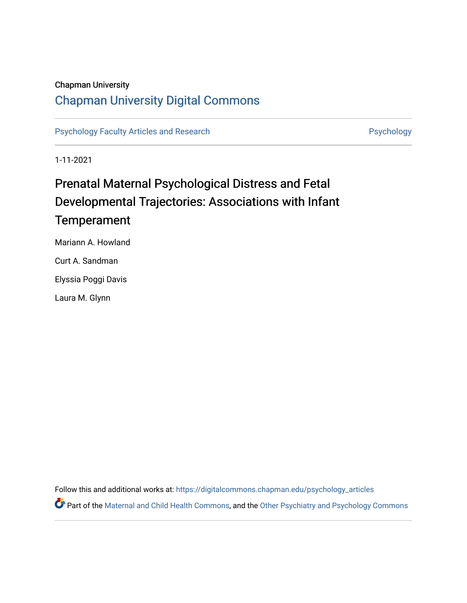### Chapman University

### [Chapman University Digital Commons](https://digitalcommons.chapman.edu/)

[Psychology Faculty Articles and Research](https://digitalcommons.chapman.edu/psychology_articles) **Psychology** Psychology

1-11-2021

## Prenatal Maternal Psychological Distress and Fetal Developmental Trajectories: Associations with Infant **Temperament**

Mariann A. Howland Curt A. Sandman Elyssia Poggi Davis Laura M. Glynn

Follow this and additional works at: [https://digitalcommons.chapman.edu/psychology\\_articles](https://digitalcommons.chapman.edu/psychology_articles?utm_source=digitalcommons.chapman.edu%2Fpsychology_articles%2F277&utm_medium=PDF&utm_campaign=PDFCoverPages)

**P** Part of the [Maternal and Child Health Commons,](http://network.bepress.com/hgg/discipline/745?utm_source=digitalcommons.chapman.edu%2Fpsychology_articles%2F277&utm_medium=PDF&utm_campaign=PDFCoverPages) and the [Other Psychiatry and Psychology Commons](http://network.bepress.com/hgg/discipline/992?utm_source=digitalcommons.chapman.edu%2Fpsychology_articles%2F277&utm_medium=PDF&utm_campaign=PDFCoverPages)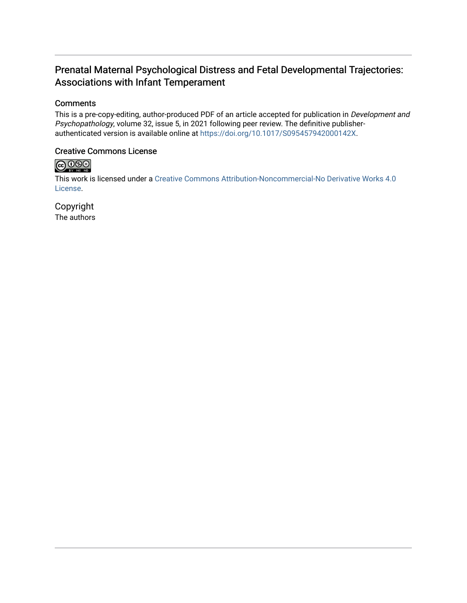### Prenatal Maternal Psychological Distress and Fetal Developmental Trajectories: Associations with Infant Temperament

#### **Comments**

This is a pre-copy-editing, author-produced PDF of an article accepted for publication in Development and Psychopathology, volume 32, issue 5, in 2021 following peer review. The definitive publisherauthenticated version is available online at [https://doi.org/10.1017/S095457942000142X.](https://doi.org/10.1017/S095457942000142X)

#### Creative Commons License



This work is licensed under a [Creative Commons Attribution-Noncommercial-No Derivative Works 4.0](https://creativecommons.org/licenses/by-nc-nd/4.0/) [License](https://creativecommons.org/licenses/by-nc-nd/4.0/).

Copyright The authors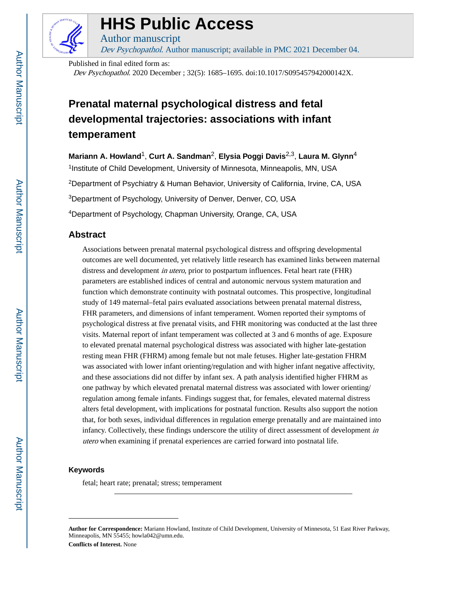

## **HHS Public Access**

Author manuscript Dev Psychopathol. Author manuscript; available in PMC 2021 December 04.

Published in final edited form as:

Dev Psychopathol. 2020 December ; 32(5): 1685–1695. doi:10.1017/S095457942000142X.

### **Prenatal maternal psychological distress and fetal developmental trajectories: associations with infant temperament**

**Mariann A. Howland**1, **Curt A. Sandman**2, **Elysia Poggi Davis**2,3, **Laura M. Glynn**<sup>4</sup>

<sup>1</sup>Institute of Child Development, University of Minnesota, Minneapolis, MN, USA <sup>2</sup>Department of Psychiatry & Human Behavior, University of California, Irvine, CA, USA <sup>3</sup>Department of Psychology, University of Denver, Denver, CO, USA

<sup>4</sup>Department of Psychology, Chapman University, Orange, CA, USA

#### **Abstract**

Associations between prenatal maternal psychological distress and offspring developmental outcomes are well documented, yet relatively little research has examined links between maternal distress and development *in utero*, prior to postpartum influences. Fetal heart rate (FHR) parameters are established indices of central and autonomic nervous system maturation and function which demonstrate continuity with postnatal outcomes. This prospective, longitudinal study of 149 maternal–fetal pairs evaluated associations between prenatal maternal distress, FHR parameters, and dimensions of infant temperament. Women reported their symptoms of psychological distress at five prenatal visits, and FHR monitoring was conducted at the last three visits. Maternal report of infant temperament was collected at 3 and 6 months of age. Exposure to elevated prenatal maternal psychological distress was associated with higher late-gestation resting mean FHR (FHRM) among female but not male fetuses. Higher late-gestation FHRM was associated with lower infant orienting/regulation and with higher infant negative affectivity, and these associations did not differ by infant sex. A path analysis identified higher FHRM as one pathway by which elevated prenatal maternal distress was associated with lower orienting/ regulation among female infants. Findings suggest that, for females, elevated maternal distress alters fetal development, with implications for postnatal function. Results also support the notion that, for both sexes, individual differences in regulation emerge prenatally and are maintained into infancy. Collectively, these findings underscore the utility of direct assessment of development in utero when examining if prenatal experiences are carried forward into postnatal life.

#### **Keywords**

fetal; heart rate; prenatal; stress; temperament

**Author for Correspondence:** Mariann Howland, Institute of Child Development, University of Minnesota, 51 East River Parkway, Minneapolis, MN 55455; howla042@umn.edu. **Conflicts of Interest.** None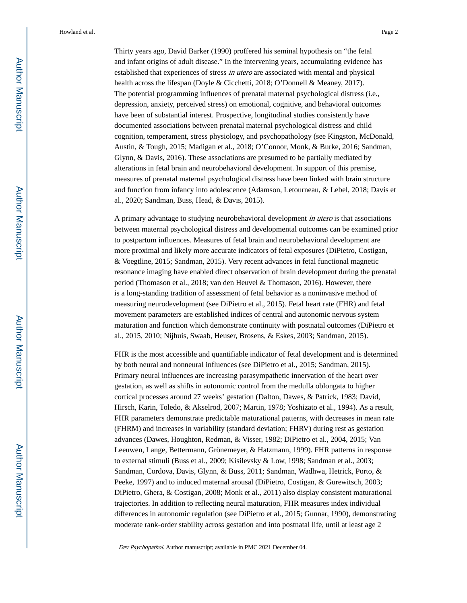Thirty years ago, David Barker (1990) proffered his seminal hypothesis on "the fetal and infant origins of adult disease." In the intervening years, accumulating evidence has established that experiences of stress in utero are associated with mental and physical health across the lifespan (Doyle & Cicchetti, 2018; O'Donnell & Meaney, 2017). The potential programming influences of prenatal maternal psychological distress (i.e., depression, anxiety, perceived stress) on emotional, cognitive, and behavioral outcomes have been of substantial interest. Prospective, longitudinal studies consistently have documented associations between prenatal maternal psychological distress and child cognition, temperament, stress physiology, and psychopathology (see Kingston, McDonald, Austin, & Tough, 2015; Madigan et al., 2018; O'Connor, Monk, & Burke, 2016; Sandman, Glynn, & Davis, 2016). These associations are presumed to be partially mediated by alterations in fetal brain and neurobehavioral development. In support of this premise, measures of prenatal maternal psychological distress have been linked with brain structure and function from infancy into adolescence (Adamson, Letourneau, & Lebel, 2018; Davis et al., 2020; Sandman, Buss, Head, & Davis, 2015).

A primary advantage to studying neurobehavioral development in utero is that associations between maternal psychological distress and developmental outcomes can be examined prior to postpartum influences. Measures of fetal brain and neurobehavioral development are more proximal and likely more accurate indicators of fetal exposures (DiPietro, Costigan, & Voegtline, 2015; Sandman, 2015). Very recent advances in fetal functional magnetic resonance imaging have enabled direct observation of brain development during the prenatal period (Thomason et al., 2018; van den Heuvel & Thomason, 2016). However, there is a long-standing tradition of assessment of fetal behavior as a noninvasive method of measuring neurodevelopment (see DiPietro et al., 2015). Fetal heart rate (FHR) and fetal movement parameters are established indices of central and autonomic nervous system maturation and function which demonstrate continuity with postnatal outcomes (DiPietro et al., 2015, 2010; Nijhuis, Swaab, Heuser, Brosens, & Eskes, 2003; Sandman, 2015).

FHR is the most accessible and quantifiable indicator of fetal development and is determined by both neural and nonneural influences (see DiPietro et al., 2015; Sandman, 2015). Primary neural influences are increasing parasympathetic innervation of the heart over gestation, as well as shifts in autonomic control from the medulla oblongata to higher cortical processes around 27 weeks' gestation (Dalton, Dawes, & Patrick, 1983; David, Hirsch, Karin, Toledo, & Akselrod, 2007; Martin, 1978; Yoshizato et al., 1994). As a result, FHR parameters demonstrate predictable maturational patterns, with decreases in mean rate (FHRM) and increases in variability (standard deviation; FHRV) during rest as gestation advances (Dawes, Houghton, Redman, & Visser, 1982; DiPietro et al., 2004, 2015; Van Leeuwen, Lange, Bettermann, Grönemeyer, & Hatzmann, 1999). FHR patterns in response to external stimuli (Buss et al., 2009; Kisilevsky & Low, 1998; Sandman et al., 2003; Sandman, Cordova, Davis, Glynn, & Buss, 2011; Sandman, Wadhwa, Hetrick, Porto, & Peeke, 1997) and to induced maternal arousal (DiPietro, Costigan, & Gurewitsch, 2003; DiPietro, Ghera, & Costigan, 2008; Monk et al., 2011) also display consistent maturational trajectories. In addition to reflecting neural maturation, FHR measures index individual differences in autonomic regulation (see DiPietro et al., 2015; Gunnar, 1990), demonstrating moderate rank-order stability across gestation and into postnatal life, until at least age 2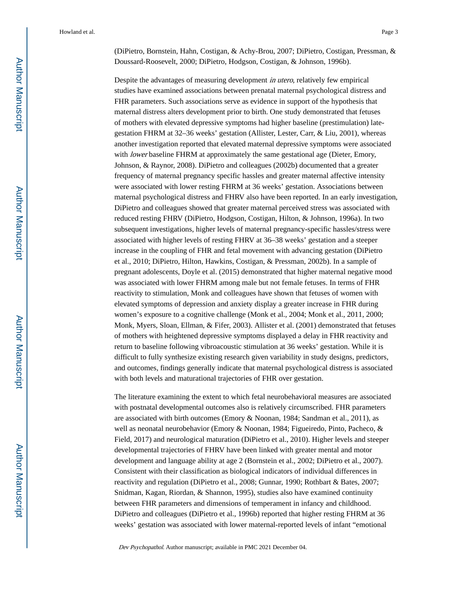(DiPietro, Bornstein, Hahn, Costigan, & Achy-Brou, 2007; DiPietro, Costigan, Pressman, & Doussard-Roosevelt, 2000; DiPietro, Hodgson, Costigan, & Johnson, 1996b).

Despite the advantages of measuring development in utero, relatively few empirical studies have examined associations between prenatal maternal psychological distress and FHR parameters. Such associations serve as evidence in support of the hypothesis that maternal distress alters development prior to birth. One study demonstrated that fetuses of mothers with elevated depressive symptoms had higher baseline (prestimulation) lategestation FHRM at 32–36 weeks' gestation (Allister, Lester, Carr, & Liu, 2001), whereas another investigation reported that elevated maternal depressive symptoms were associated with *lower* baseline FHRM at approximately the same gestational age (Dieter, Emory, Johnson, & Raynor, 2008). DiPietro and colleagues (2002b) documented that a greater frequency of maternal pregnancy specific hassles and greater maternal affective intensity were associated with lower resting FHRM at 36 weeks' gestation. Associations between maternal psychological distress and FHRV also have been reported. In an early investigation, DiPietro and colleagues showed that greater maternal perceived stress was associated with reduced resting FHRV (DiPietro, Hodgson, Costigan, Hilton, & Johnson, 1996a). In two subsequent investigations, higher levels of maternal pregnancy-specific hassles/stress were associated with higher levels of resting FHRV at 36–38 weeks' gestation and a steeper increase in the coupling of FHR and fetal movement with advancing gestation (DiPietro et al., 2010; DiPietro, Hilton, Hawkins, Costigan, & Pressman, 2002b). In a sample of pregnant adolescents, Doyle et al. (2015) demonstrated that higher maternal negative mood was associated with lower FHRM among male but not female fetuses. In terms of FHR reactivity to stimulation, Monk and colleagues have shown that fetuses of women with elevated symptoms of depression and anxiety display a greater increase in FHR during women's exposure to a cognitive challenge (Monk et al., 2004; Monk et al., 2011, 2000; Monk, Myers, Sloan, Ellman, & Fifer, 2003). Allister et al. (2001) demonstrated that fetuses of mothers with heightened depressive symptoms displayed a delay in FHR reactivity and return to baseline following vibroacoustic stimulation at 36 weeks' gestation. While it is difficult to fully synthesize existing research given variability in study designs, predictors, and outcomes, findings generally indicate that maternal psychological distress is associated with both levels and maturational trajectories of FHR over gestation.

The literature examining the extent to which fetal neurobehavioral measures are associated with postnatal developmental outcomes also is relatively circumscribed. FHR parameters are associated with birth outcomes (Emory & Noonan, 1984; Sandman et al., 2011), as well as neonatal neurobehavior (Emory & Noonan, 1984; Figueiredo, Pinto, Pacheco, & Field, 2017) and neurological maturation (DiPietro et al., 2010). Higher levels and steeper developmental trajectories of FHRV have been linked with greater mental and motor development and language ability at age 2 (Bornstein et al., 2002; DiPietro et al., 2007). Consistent with their classification as biological indicators of individual differences in reactivity and regulation (DiPietro et al., 2008; Gunnar, 1990; Rothbart & Bates, 2007; Snidman, Kagan, Riordan, & Shannon, 1995), studies also have examined continuity between FHR parameters and dimensions of temperament in infancy and childhood. DiPietro and colleagues (DiPietro et al., 1996b) reported that higher resting FHRM at 36 weeks' gestation was associated with lower maternal-reported levels of infant "emotional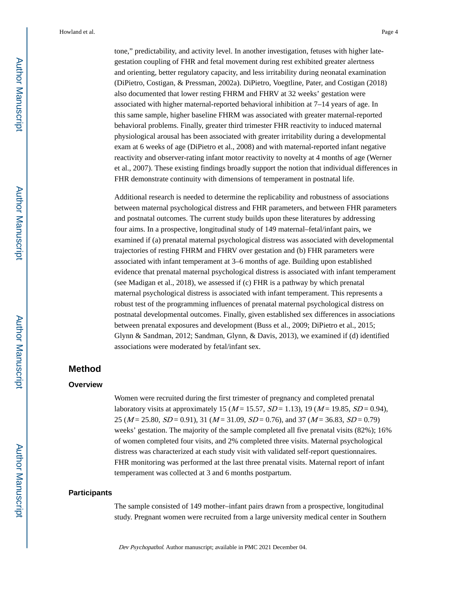tone," predictability, and activity level. In another investigation, fetuses with higher lategestation coupling of FHR and fetal movement during rest exhibited greater alertness and orienting, better regulatory capacity, and less irritability during neonatal examination (DiPietro, Costigan, & Pressman, 2002a). DiPietro, Voegtline, Pater, and Costigan (2018) also documented that lower resting FHRM and FHRV at 32 weeks' gestation were associated with higher maternal-reported behavioral inhibition at 7–14 years of age. In this same sample, higher baseline FHRM was associated with greater maternal-reported behavioral problems. Finally, greater third trimester FHR reactivity to induced maternal physiological arousal has been associated with greater irritability during a developmental exam at 6 weeks of age (DiPietro et al., 2008) and with maternal-reported infant negative reactivity and observer-rating infant motor reactivity to novelty at 4 months of age (Werner et al., 2007). These existing findings broadly support the notion that individual differences in FHR demonstrate continuity with dimensions of temperament in postnatal life.

Additional research is needed to determine the replicability and robustness of associations between maternal psychological distress and FHR parameters, and between FHR parameters and postnatal outcomes. The current study builds upon these literatures by addressing four aims. In a prospective, longitudinal study of 149 maternal–fetal/infant pairs, we examined if (a) prenatal maternal psychological distress was associated with developmental trajectories of resting FHRM and FHRV over gestation and (b) FHR parameters were associated with infant temperament at 3–6 months of age. Building upon established evidence that prenatal maternal psychological distress is associated with infant temperament (see Madigan et al., 2018), we assessed if (c) FHR is a pathway by which prenatal maternal psychological distress is associated with infant temperament. This represents a robust test of the programming influences of prenatal maternal psychological distress on postnatal developmental outcomes. Finally, given established sex differences in associations between prenatal exposures and development (Buss et al., 2009; DiPietro et al., 2015; Glynn & Sandman, 2012; Sandman, Glynn, & Davis, 2013), we examined if (d) identified associations were moderated by fetal/infant sex.

#### **Method**

#### **Overview**

Women were recruited during the first trimester of pregnancy and completed prenatal laboratory visits at approximately 15 ( $M = 15.57$ ,  $SD = 1.13$ ), 19 ( $M = 19.85$ ,  $SD = 0.94$ ), 25 ( $M = 25.80$ ,  $SD = 0.91$ ), 31 ( $M = 31.09$ ,  $SD = 0.76$ ), and 37 ( $M = 36.83$ ,  $SD = 0.79$ ) weeks' gestation. The majority of the sample completed all five prenatal visits (82%); 16% of women completed four visits, and 2% completed three visits. Maternal psychological distress was characterized at each study visit with validated self-report questionnaires. FHR monitoring was performed at the last three prenatal visits. Maternal report of infant temperament was collected at 3 and 6 months postpartum.

#### **Participants**

The sample consisted of 149 mother–infant pairs drawn from a prospective, longitudinal study. Pregnant women were recruited from a large university medical center in Southern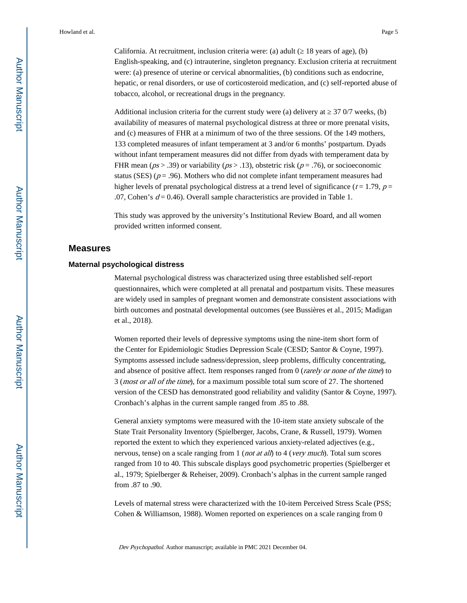California. At recruitment, inclusion criteria were: (a) adult  $(18 \text{ years of age})$ , (b) English-speaking, and (c) intrauterine, singleton pregnancy. Exclusion criteria at recruitment were: (a) presence of uterine or cervical abnormalities, (b) conditions such as endocrine, hepatic, or renal disorders, or use of corticosteroid medication, and (c) self-reported abuse of tobacco, alcohol, or recreational drugs in the pregnancy.

Additional inclusion criteria for the current study were (a) delivery at  $370/7$  weeks, (b) availability of measures of maternal psychological distress at three or more prenatal visits, and (c) measures of FHR at a minimum of two of the three sessions. Of the 149 mothers, 133 completed measures of infant temperament at 3 and/or 6 months' postpartum. Dyads without infant temperament measures did not differ from dyads with temperament data by FHR mean ( $ps > .39$ ) or variability ( $ps > .13$ ), obstetric risk ( $p = .76$ ), or socioeconomic status (SES) ( $p = .96$ ). Mothers who did not complete infant temperament measures had higher levels of prenatal psychological distress at a trend level of significance ( $t = 1.79$ ,  $p =$ .07, Cohen's  $d = 0.46$ ). Overall sample characteristics are provided in Table 1.

This study was approved by the university's Institutional Review Board, and all women provided written informed consent.

#### **Measures**

#### **Maternal psychological distress**

Maternal psychological distress was characterized using three established self-report questionnaires, which were completed at all prenatal and postpartum visits. These measures are widely used in samples of pregnant women and demonstrate consistent associations with birth outcomes and postnatal developmental outcomes (see Bussières et al., 2015; Madigan et al., 2018).

Women reported their levels of depressive symptoms using the nine-item short form of the Center for Epidemiologic Studies Depression Scale (CESD; Santor & Coyne, 1997). Symptoms assessed include sadness/depression, sleep problems, difficulty concentrating, and absence of positive affect. Item responses ranged from  $0$  (*rarely or none of the time*) to 3 (most or all of the time), for a maximum possible total sum score of 27. The shortened version of the CESD has demonstrated good reliability and validity (Santor & Coyne, 1997). Cronbach's alphas in the current sample ranged from .85 to .88.

General anxiety symptoms were measured with the 10-item state anxiety subscale of the State Trait Personality Inventory (Spielberger, Jacobs, Crane, & Russell, 1979). Women reported the extent to which they experienced various anxiety-related adjectives (e.g., nervous, tense) on a scale ranging from 1 (*not at all*) to 4 (*very much*). Total sum scores ranged from 10 to 40. This subscale displays good psychometric properties (Spielberger et al., 1979; Spielberger & Reheiser, 2009). Cronbach's alphas in the current sample ranged from .87 to .90.

Levels of maternal stress were characterized with the 10-item Perceived Stress Scale (PSS; Cohen & Williamson, 1988). Women reported on experiences on a scale ranging from 0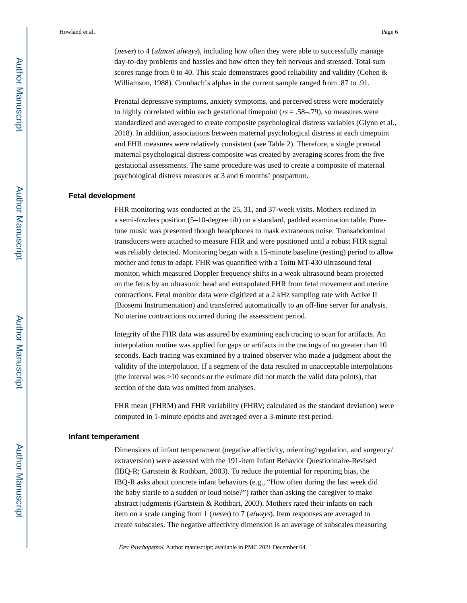(*never*) to 4 (*almost always*), including how often they were able to successfully manage day-to-day problems and hassles and how often they felt nervous and stressed. Total sum scores range from 0 to 40. This scale demonstrates good reliability and validity (Cohen & Williamson, 1988). Cronbach's alphas in the current sample ranged from .87 to .91.

Prenatal depressive symptoms, anxiety symptoms, and perceived stress were moderately to highly correlated within each gestational timepoint ( $rs = .58-.79$ ), so measures were standardized and averaged to create composite psychological distress variables (Glynn et al., 2018). In addition, associations between maternal psychological distress at each timepoint and FHR measures were relatively consistent (see Table 2). Therefore, a single prenatal maternal psychological distress composite was created by averaging scores from the five gestational assessments. The same procedure was used to create a composite of maternal psychological distress measures at 3 and 6 months' postpartum.

#### **Fetal development**

FHR monitoring was conducted at the 25, 31, and 37-week visits. Mothers reclined in a semi-fowlers position (5–10-degree tilt) on a standard, padded examination table. Puretone music was presented though headphones to mask extraneous noise. Transabdominal transducers were attached to measure FHR and were positioned until a robust FHR signal was reliably detected. Monitoring began with a 15-minute baseline (resting) period to allow mother and fetus to adapt. FHR was quantified with a Toitu MT-430 ultrasound fetal monitor, which measured Doppler frequency shifts in a weak ultrasound beam projected on the fetus by an ultrasonic head and extrapolated FHR from fetal movement and uterine contractions. Fetal monitor data were digitized at a 2 kHz sampling rate with Active II (Biosemi Instrumentation) and transferred automatically to an off-line server for analysis. No uterine contractions occurred during the assessment period.

Integrity of the FHR data was assured by examining each tracing to scan for artifacts. An interpolation routine was applied for gaps or artifacts in the tracings of no greater than 10 seconds. Each tracing was examined by a trained observer who made a judgment about the validity of the interpolation. If a segment of the data resulted in unacceptable interpolations (the interval was >10 seconds or the estimate did not match the valid data points), that section of the data was omitted from analyses.

FHR mean (FHRM) and FHR variability (FHRV; calculated as the standard deviation) were computed in 1-minute epochs and averaged over a 3-minute rest period.

#### **Infant temperament**

Dimensions of infant temperament (negative affectivity, orienting/regulation, and surgency/ extraversion) were assessed with the 191-item Infant Behavior Questionnaire-Revised (IBQ-R; Gartstein & Rothbart, 2003). To reduce the potential for reporting bias, the IBQ-R asks about concrete infant behaviors (e.g., "How often during the last week did the baby startle to a sudden or loud noise?") rather than asking the caregiver to make abstract judgments (Gartstein & Rothbart, 2003). Mothers rated their infants on each item on a scale ranging from 1 (never) to 7 (always). Item responses are averaged to create subscales. The negative affectivity dimension is an average of subscales measuring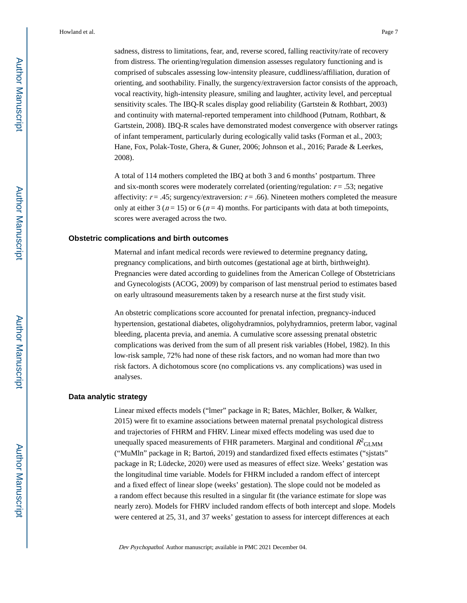sadness, distress to limitations, fear, and, reverse scored, falling reactivity/rate of recovery from distress. The orienting/regulation dimension assesses regulatory functioning and is comprised of subscales assessing low-intensity pleasure, cuddliness/affiliation, duration of orienting, and soothability. Finally, the surgency/extraversion factor consists of the approach, vocal reactivity, high-intensity pleasure, smiling and laughter, activity level, and perceptual sensitivity scales. The IBQ-R scales display good reliability (Gartstein & Rothbart, 2003) and continuity with maternal-reported temperament into childhood (Putnam, Rothbart, & Gartstein, 2008). IBQ-R scales have demonstrated modest convergence with observer ratings of infant temperament, particularly during ecologically valid tasks (Forman et al., 2003; Hane, Fox, Polak-Toste, Ghera, & Guner, 2006; Johnson et al., 2016; Parade & Leerkes, 2008).

A total of 114 mothers completed the IBQ at both 3 and 6 months' postpartum. Three and six-month scores were moderately correlated (orienting/regulation:  $r = .53$ ; negative affectivity:  $r = .45$ ; surgency/extraversion:  $r = .66$ ). Nineteen mothers completed the measure only at either 3 ( $n = 15$ ) or 6 ( $n = 4$ ) months. For participants with data at both timepoints, scores were averaged across the two.

#### **Obstetric complications and birth outcomes**

Maternal and infant medical records were reviewed to determine pregnancy dating, pregnancy complications, and birth outcomes (gestational age at birth, birthweight). Pregnancies were dated according to guidelines from the American College of Obstetricians and Gynecologists (ACOG, 2009) by comparison of last menstrual period to estimates based on early ultrasound measurements taken by a research nurse at the first study visit.

An obstetric complications score accounted for prenatal infection, pregnancy-induced hypertension, gestational diabetes, oligohydramnios, polyhydramnios, preterm labor, vaginal bleeding, placenta previa, and anemia. A cumulative score assessing prenatal obstetric complications was derived from the sum of all present risk variables (Hobel, 1982). In this low-risk sample, 72% had none of these risk factors, and no woman had more than two risk factors. A dichotomous score (no complications vs. any complications) was used in analyses.

#### **Data analytic strategy**

Linear mixed effects models ("lmer" package in R; Bates, Mächler, Bolker, & Walker, 2015) were fit to examine associations between maternal prenatal psychological distress and trajectories of FHRM and FHRV. Linear mixed effects modeling was used due to unequally spaced measurements of FHR parameters. Marginal and conditional  $R^2_\mathrm{GLMM}$ ("MuMln" package in R; Barto, 2019) and standardized fixed effects estimates ("sjstats" package in R; Lüdecke, 2020) were used as measures of effect size. Weeks' gestation was the longitudinal time variable. Models for FHRM included a random effect of intercept and a fixed effect of linear slope (weeks' gestation). The slope could not be modeled as a random effect because this resulted in a singular fit (the variance estimate for slope was nearly zero). Models for FHRV included random effects of both intercept and slope. Models were centered at 25, 31, and 37 weeks' gestation to assess for intercept differences at each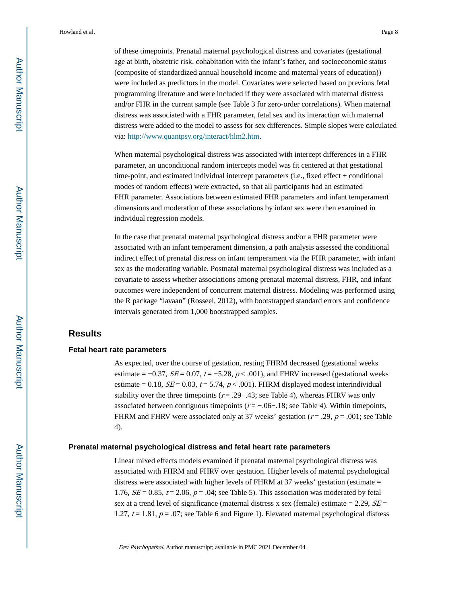of these timepoints. Prenatal maternal psychological distress and covariates (gestational age at birth, obstetric risk, cohabitation with the infant's father, and socioeconomic status (composite of standardized annual household income and maternal years of education)) were included as predictors in the model. Covariates were selected based on previous fetal programming literature and were included if they were associated with maternal distress and/or FHR in the current sample (see Table 3 for zero-order correlations). When maternal distress was associated with a FHR parameter, fetal sex and its interaction with maternal distress were added to the model to assess for sex differences. Simple slopes were calculated via: <http://www.quantpsy.org/interact/hlm2.htm>.

When maternal psychological distress was associated with intercept differences in a FHR parameter, an unconditional random intercepts model was fit centered at that gestational time-point, and estimated individual intercept parameters (i.e., fixed effect + conditional modes of random effects) were extracted, so that all participants had an estimated FHR parameter. Associations between estimated FHR parameters and infant temperament dimensions and moderation of these associations by infant sex were then examined in individual regression models.

In the case that prenatal maternal psychological distress and/or a FHR parameter were associated with an infant temperament dimension, a path analysis assessed the conditional indirect effect of prenatal distress on infant temperament via the FHR parameter, with infant sex as the moderating variable. Postnatal maternal psychological distress was included as a covariate to assess whether associations among prenatal maternal distress, FHR, and infant outcomes were independent of concurrent maternal distress. Modeling was performed using the R package "lavaan" (Rosseel, 2012), with bootstrapped standard errors and confidence intervals generated from 1,000 bootstrapped samples.

#### **Results**

#### **Fetal heart rate parameters**

As expected, over the course of gestation, resting FHRM decreased (gestational weeks estimate =  $-0.37$ ,  $SE = 0.07$ ,  $t = -5.28$ ,  $p < .001$ ), and FHRV increased (gestational weeks estimate = 0.18,  $SE = 0.03$ ,  $t = 5.74$ ,  $p < .001$ ). FHRM displayed modest interindividual stability over the three timepoints ( $r = .29-0.43$ ; see Table 4), whereas FHRV was only associated between contiguous timepoints ( $r = -06-18$ ; see Table 4). Within timepoints, FHRM and FHRV were associated only at 37 weeks' gestation ( $r = .29$ ,  $p = .001$ ; see Table 4).

#### **Prenatal maternal psychological distress and fetal heart rate parameters**

Linear mixed effects models examined if prenatal maternal psychological distress was associated with FHRM and FHRV over gestation. Higher levels of maternal psychological distress were associated with higher levels of FHRM at 37 weeks' gestation (estimate = 1.76,  $SE = 0.85$ ,  $t = 2.06$ ,  $p = .04$ ; see Table 5). This association was moderated by fetal sex at a trend level of significance (maternal distress x sex (female) estimate = 2.29,  $SE =$ 1.27,  $t = 1.81$ ,  $p = .07$ ; see Table 6 and Figure 1). Elevated maternal psychological distress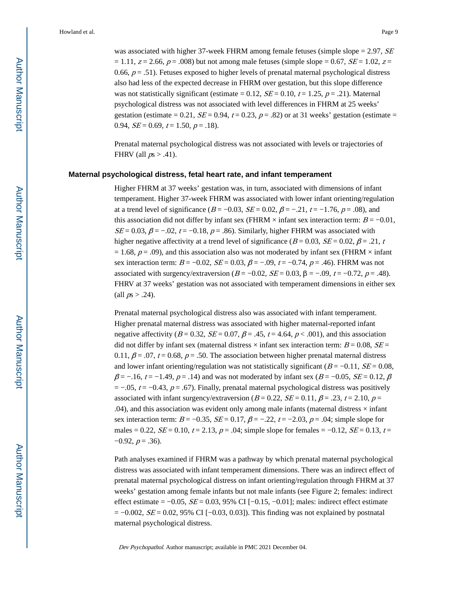was associated with higher 37-week FHRM among female fetuses (simple slope  $= 2.97$ , SE  $= 1.11$ ,  $z = 2.66$ ,  $p = .008$ ) but not among male fetuses (simple slope = 0.67,  $SE = 1.02$ ,  $z =$ 0.66,  $p = .51$ ). Fetuses exposed to higher levels of prenatal maternal psychological distress also had less of the expected decrease in FHRM over gestation, but this slope difference was not statistically significant (estimate = 0.12,  $SE = 0.10$ ,  $t = 1.25$ ,  $p = .21$ ). Maternal psychological distress was not associated with level differences in FHRM at 25 weeks' gestation (estimate = 0.21,  $SE = 0.94$ ,  $t = 0.23$ ,  $p = .82$ ) or at 31 weeks' gestation (estimate = 0.94,  $SE = 0.69$ ,  $t = 1.50$ ,  $p = .18$ ).

Prenatal maternal psychological distress was not associated with levels or trajectories of FHRV (all  $ps > .41$ ).

#### **Maternal psychological distress, fetal heart rate, and infant temperament**

Higher FHRM at 37 weeks' gestation was, in turn, associated with dimensions of infant temperament. Higher 37-week FHRM was associated with lower infant orienting/regulation at a trend level of significance ( $B = -0.03$ ,  $SE = 0.02$ ,  $\beta = -0.21$ ,  $t = -1.76$ ,  $p = .08$ ), and this association did not differ by infant sex (FHRM  $\times$  infant sex interaction term:  $B = -0.01$ ,  $SE = 0.03$ ,  $\beta = -.02$ ,  $t = -0.18$ ,  $p = .86$ ). Similarly, higher FHRM was associated with higher negative affectivity at a trend level of significance ( $B = 0.03$ ,  $SE = 0.02$ ,  $\beta = .21$ , t  $= 1.68$ ,  $p = .09$ ), and this association also was not moderated by infant sex (FHRM  $\times$  infant sex interaction term:  $B = -0.02$ ,  $SE = 0.03$ ,  $\beta = -0.09$ ,  $t = -0.74$ ,  $p = .46$ ). FHRM was not associated with surgency/extraversion ( $B = -0.02$ ,  $SE = 0.03$ ,  $\beta = -0.09$ ,  $t = -0.72$ ,  $p = .48$ ). FHRV at 37 weeks' gestation was not associated with temperament dimensions in either sex (all  $ps > .24$ ).

Prenatal maternal psychological distress also was associated with infant temperament. Higher prenatal maternal distress was associated with higher maternal-reported infant negative affectivity ( $B = 0.32$ ,  $SE = 0.07$ ,  $\beta = .45$ ,  $t = 4.64$ ,  $p < .001$ ), and this association did not differ by infant sex (maternal distress  $\times$  infant sex interaction term:  $B = 0.08$ ,  $SE =$ 0.11,  $\beta$  = .07, t = 0.68, p = .50. The association between higher prenatal maternal distress and lower infant orienting/regulation was not statistically significant  $(B = -0.11, SE = 0.08,$  $\beta$  = −.16, t = −1.49, p = .14) and was not moderated by infant sex (B = −0.05, SE = 0.12,  $\beta$  $= -0.05$ ,  $t = -0.43$ ,  $p = 0.67$ ). Finally, prenatal maternal psychological distress was positively associated with infant surgency/extraversion ( $B = 0.22$ ,  $SE = 0.11$ ,  $\beta = .23$ ,  $t = 2.10$ ,  $p =$  $.04$ ), and this association was evident only among male infants (maternal distress  $\times$  infant sex interaction term:  $B = -0.35$ ,  $SE = 0.17$ ,  $\beta = -.22$ ,  $t = -2.03$ ,  $p = .04$ ; simple slope for males = 0.22,  $SE = 0.10$ ,  $t = 2.13$ ,  $p = .04$ ; simple slope for females = -0.12,  $SE = 0.13$ ,  $t =$  $-0.92, p = .36$ ).

Path analyses examined if FHRM was a pathway by which prenatal maternal psychological distress was associated with infant temperament dimensions. There was an indirect effect of prenatal maternal psychological distress on infant orienting/regulation through FHRM at 37 weeks' gestation among female infants but not male infants (see Figure 2; females: indirect effect estimate =  $-0.05$ ,  $SE = 0.03$ , 95% CI  $[-0.15, -0.01]$ ; males: indirect effect estimate  $= -0.002$ ,  $SE = 0.02$ , 95% CI [-0.03, 0.03]). This finding was not explained by postnatal maternal psychological distress.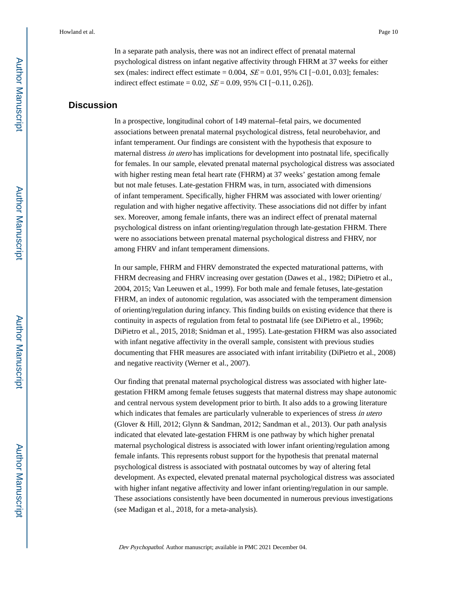In a separate path analysis, there was not an indirect effect of prenatal maternal psychological distress on infant negative affectivity through FHRM at 37 weeks for either sex (males: indirect effect estimate =  $0.004$ ,  $SE = 0.01$ ,  $95\%$  CI [ $-0.01$ ,  $0.03$ ]; females: indirect effect estimate = 0.02,  $SE = 0.09$ , 95% CI [−0.11, 0.26]).

#### **Discussion**

In a prospective, longitudinal cohort of 149 maternal–fetal pairs, we documented associations between prenatal maternal psychological distress, fetal neurobehavior, and infant temperament. Our findings are consistent with the hypothesis that exposure to maternal distress *in utero* has implications for development into postnatal life, specifically for females. In our sample, elevated prenatal maternal psychological distress was associated with higher resting mean fetal heart rate (FHRM) at 37 weeks' gestation among female but not male fetuses. Late-gestation FHRM was, in turn, associated with dimensions of infant temperament. Specifically, higher FHRM was associated with lower orienting/ regulation and with higher negative affectivity. These associations did not differ by infant sex. Moreover, among female infants, there was an indirect effect of prenatal maternal psychological distress on infant orienting/regulation through late-gestation FHRM. There were no associations between prenatal maternal psychological distress and FHRV, nor among FHRV and infant temperament dimensions.

In our sample, FHRM and FHRV demonstrated the expected maturational patterns, with FHRM decreasing and FHRV increasing over gestation (Dawes et al., 1982; DiPietro et al., 2004, 2015; Van Leeuwen et al., 1999). For both male and female fetuses, late-gestation FHRM, an index of autonomic regulation, was associated with the temperament dimension of orienting/regulation during infancy. This finding builds on existing evidence that there is continuity in aspects of regulation from fetal to postnatal life (see DiPietro et al., 1996b; DiPietro et al., 2015, 2018; Snidman et al., 1995). Late-gestation FHRM was also associated with infant negative affectivity in the overall sample, consistent with previous studies documenting that FHR measures are associated with infant irritability (DiPietro et al., 2008) and negative reactivity (Werner et al., 2007).

Our finding that prenatal maternal psychological distress was associated with higher lategestation FHRM among female fetuses suggests that maternal distress may shape autonomic and central nervous system development prior to birth. It also adds to a growing literature which indicates that females are particularly vulnerable to experiences of stress in utero (Glover & Hill, 2012; Glynn & Sandman, 2012; Sandman et al., 2013). Our path analysis indicated that elevated late-gestation FHRM is one pathway by which higher prenatal maternal psychological distress is associated with lower infant orienting/regulation among female infants. This represents robust support for the hypothesis that prenatal maternal psychological distress is associated with postnatal outcomes by way of altering fetal development. As expected, elevated prenatal maternal psychological distress was associated with higher infant negative affectivity and lower infant orienting/regulation in our sample. These associations consistently have been documented in numerous previous investigations (see Madigan et al., 2018, for a meta-analysis).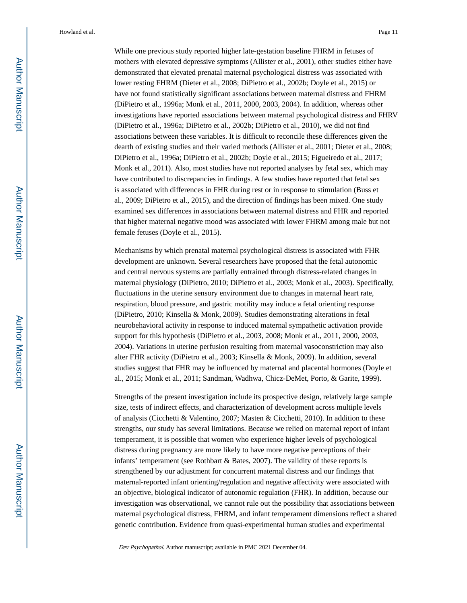While one previous study reported higher late-gestation baseline FHRM in fetuses of mothers with elevated depressive symptoms (Allister et al., 2001), other studies either have demonstrated that elevated prenatal maternal psychological distress was associated with lower resting FHRM (Dieter et al., 2008; DiPietro et al., 2002b; Doyle et al., 2015) or have not found statistically significant associations between maternal distress and FHRM (DiPietro et al., 1996a; Monk et al., 2011, 2000, 2003, 2004). In addition, whereas other investigations have reported associations between maternal psychological distress and FHRV (DiPietro et al., 1996a; DiPietro et al., 2002b; DiPietro et al., 2010), we did not find associations between these variables. It is difficult to reconcile these differences given the dearth of existing studies and their varied methods (Allister et al., 2001; Dieter et al., 2008; DiPietro et al., 1996a; DiPietro et al., 2002b; Doyle et al., 2015; Figueiredo et al., 2017; Monk et al., 2011). Also, most studies have not reported analyses by fetal sex, which may have contributed to discrepancies in findings. A few studies have reported that fetal sex is associated with differences in FHR during rest or in response to stimulation (Buss et al., 2009; DiPietro et al., 2015), and the direction of findings has been mixed. One study examined sex differences in associations between maternal distress and FHR and reported that higher maternal negative mood was associated with lower FHRM among male but not female fetuses (Doyle et al., 2015).

Mechanisms by which prenatal maternal psychological distress is associated with FHR development are unknown. Several researchers have proposed that the fetal autonomic and central nervous systems are partially entrained through distress-related changes in maternal physiology (DiPietro, 2010; DiPietro et al., 2003; Monk et al., 2003). Specifically, fluctuations in the uterine sensory environment due to changes in maternal heart rate, respiration, blood pressure, and gastric motility may induce a fetal orienting response (DiPietro, 2010; Kinsella & Monk, 2009). Studies demonstrating alterations in fetal neurobehavioral activity in response to induced maternal sympathetic activation provide support for this hypothesis (DiPietro et al., 2003, 2008; Monk et al., 2011, 2000, 2003, 2004). Variations in uterine perfusion resulting from maternal vasoconstriction may also alter FHR activity (DiPietro et al., 2003; Kinsella & Monk, 2009). In addition, several studies suggest that FHR may be influenced by maternal and placental hormones (Doyle et al., 2015; Monk et al., 2011; Sandman, Wadhwa, Chicz-DeMet, Porto, & Garite, 1999).

Strengths of the present investigation include its prospective design, relatively large sample size, tests of indirect effects, and characterization of development across multiple levels of analysis (Cicchetti & Valentino, 2007; Masten & Cicchetti, 2010). In addition to these strengths, our study has several limitations. Because we relied on maternal report of infant temperament, it is possible that women who experience higher levels of psychological distress during pregnancy are more likely to have more negative perceptions of their infants' temperament (see Rothbart & Bates, 2007). The validity of these reports is strengthened by our adjustment for concurrent maternal distress and our findings that maternal-reported infant orienting/regulation and negative affectivity were associated with an objective, biological indicator of autonomic regulation (FHR). In addition, because our investigation was observational, we cannot rule out the possibility that associations between maternal psychological distress, FHRM, and infant temperament dimensions reflect a shared genetic contribution. Evidence from quasi-experimental human studies and experimental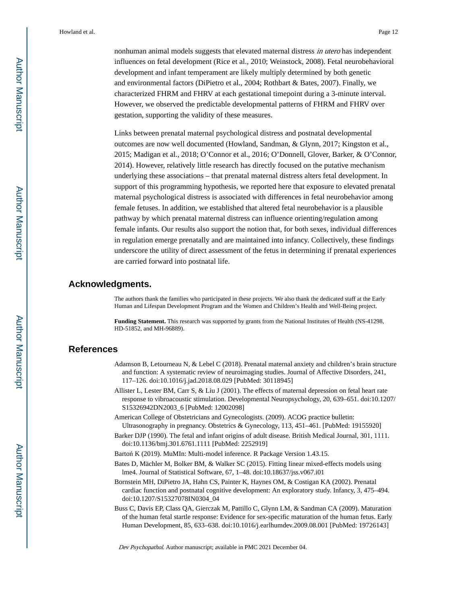nonhuman animal models suggests that elevated maternal distress in utero has independent influences on fetal development (Rice et al., 2010; Weinstock, 2008). Fetal neurobehavioral development and infant temperament are likely multiply determined by both genetic and environmental factors (DiPietro et al., 2004; Rothbart & Bates, 2007). Finally, we characterized FHRM and FHRV at each gestational timepoint during a 3-minute interval. However, we observed the predictable developmental patterns of FHRM and FHRV over gestation, supporting the validity of these measures.

Links between prenatal maternal psychological distress and postnatal developmental outcomes are now well documented (Howland, Sandman, & Glynn, 2017; Kingston et al., 2015; Madigan et al., 2018; O'Connor et al., 2016; O'Donnell, Glover, Barker, & O'Connor, 2014). However, relatively little research has directly focused on the putative mechanism underlying these associations – that prenatal maternal distress alters fetal development. In support of this programming hypothesis, we reported here that exposure to elevated prenatal maternal psychological distress is associated with differences in fetal neurobehavior among female fetuses. In addition, we established that altered fetal neurobehavior is a plausible pathway by which prenatal maternal distress can influence orienting/regulation among female infants. Our results also support the notion that, for both sexes, individual differences in regulation emerge prenatally and are maintained into infancy. Collectively, these findings underscore the utility of direct assessment of the fetus in determining if prenatal experiences are carried forward into postnatal life.

#### **Acknowledgments.**

The authors thank the families who participated in these projects. We also thank the dedicated staff at the Early Human and Lifespan Development Program and the Women and Children's Health and Well-Being project.

**Funding Statement.** This research was supported by grants from the National Institutes of Health (NS-41298, HD-51852, and MH-96889).

#### **References**

- Adamson B, Letourneau N, & Lebel C (2018). Prenatal maternal anxiety and children's brain structure and function: A systematic review of neuroimaging studies. Journal of Affective Disorders, 241, 117–126. doi:10.1016/j.jad.2018.08.029 [PubMed: 30118945]
- Allister L, Lester BM, Carr S, & Liu J (2001). The effects of maternal depression on fetal heart rate response to vibroacoustic stimulation. Developmental Neuropsychology, 20, 639–651. doi:10.1207/ S15326942DN2003\_6 [PubMed: 12002098]
- American College of Obstetricians and Gynecologists. (2009). ACOG practice bulletin: Ultrasonography in pregnancy. Obstetrics & Gynecology, 113, 451–461. [PubMed: 19155920]
- Barker DJP (1990). The fetal and infant origins of adult disease. British Medical Journal, 301, 1111. doi:10.1136/bmj.301.6761.1111 [PubMed: 2252919]
- Barto K (2019). MuMIn: Multi-model inference. R Package Version 1.43.15.
- Bates D, Mächler M, Bolker BM, & Walker SC (2015). Fitting linear mixed-effects models using lme4. Journal of Statistical Software, 67, 1–48. doi:10.18637/jss.v067.i01
- Bornstein MH, DiPietro JA, Hahn CS, Painter K, Haynes OM, & Costigan KA (2002). Prenatal cardiac function and postnatal cognitive development: An exploratory study. Infancy, 3, 475–494. doi:10.1207/S15327078IN0304\_04
- Buss C, Davis EP, Class QA, Gierczak M, Pattillo C, Glynn LM, & Sandman CA (2009). Maturation of the human fetal startle response: Evidence for sex-specific maturation of the human fetus. Early Human Development, 85, 633–638. doi:10.1016/j.earlhumdev.2009.08.001 [PubMed: 19726143]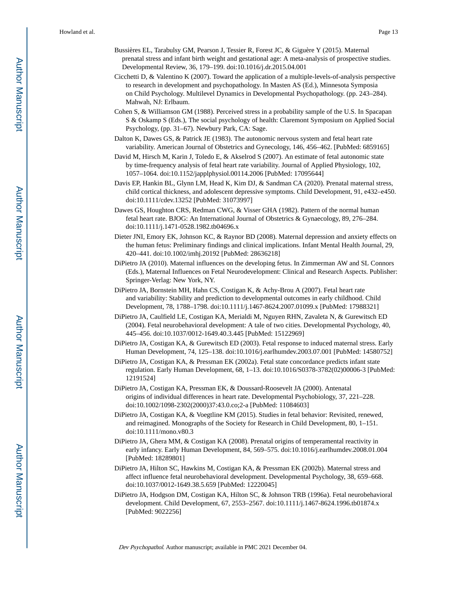- Bussières EL, Tarabulsy GM, Pearson J, Tessier R, Forest JC, & Giguère Y (2015). Maternal prenatal stress and infant birth weight and gestational age: A meta-analysis of prospective studies. Developmental Review, 36, 179–199. doi:10.1016/j.dr.2015.04.001
- Cicchetti D, & Valentino K (2007). Toward the application of a multiple-levels-of-analysis perspective to research in development and psychopathology. In Masten AS (Ed.), Minnesota Symposia on Child Psychology. Multilevel Dynamics in Developmental Psychopathology. (pp. 243–284). Mahwah, NJ: Erlbaum.
- Cohen S, & Williamson GM (1988). Perceived stress in a probability sample of the U.S. In Spacapan S & Oskamp S (Eds.), The social psychology of health: Claremont Symposium on Applied Social Psychology, (pp. 31–67). Newbury Park, CA: Sage.
- Dalton K, Dawes GS, & Patrick JE (1983). The autonomic nervous system and fetal heart rate variability. American Journal of Obstetrics and Gynecology, 146, 456–462. [PubMed: 6859165]
- David M, Hirsch M, Karin J, Toledo E, & Akselrod S (2007). An estimate of fetal autonomic state by time-frequency analysis of fetal heart rate variability. Journal of Applied Physiology, 102, 1057–1064. doi:10.1152/japplphysiol.00114.2006 [PubMed: 17095644]
- Davis EP, Hankin BL, Glynn LM, Head K, Kim DJ, & Sandman CA (2020). Prenatal maternal stress, child cortical thickness, and adolescent depressive symptoms. Child Development, 91, e432–e450. doi:10.1111/cdev.13252 [PubMed: 31073997]
- Dawes GS, Houghton CRS, Redman CWG, & Visser GHA (1982). Pattern of the normal human fetal heart rate. BJOG: An International Journal of Obstetrics & Gynaecology, 89, 276–284. doi:10.1111/j.1471-0528.1982.tb04696.x
- Dieter JNI, Emory EK, Johnson KC, & Raynor BD (2008). Maternal depression and anxiety effects on the human fetus: Preliminary findings and clinical implications. Infant Mental Health Journal, 29, 420–441. doi:10.1002/imhj.20192 [PubMed: 28636218]
- DiPietro JA (2010). Maternal influences on the developing fetus. In Zimmerman AW and SL Connors (Eds.), Maternal Influences on Fetal Neurodevelopment: Clinical and Research Aspects. Publisher: Springer-Verlag: New York, NY.
- DiPietro JA, Bornstein MH, Hahn CS, Costigan K, & Achy-Brou A (2007). Fetal heart rate and variability: Stability and prediction to developmental outcomes in early childhood. Child Development, 78, 1788–1798. doi:10.1111/j.1467-8624.2007.01099.x [PubMed: 17988321]
- DiPietro JA, Caulfield LE, Costigan KA, Merialdi M, Nguyen RHN, Zavaleta N, & Gurewitsch ED (2004). Fetal neurobehavioral development: A tale of two cities. Developmental Psychology, 40, 445–456. doi:10.1037/0012-1649.40.3.445 [PubMed: 15122969]
- DiPietro JA, Costigan KA, & Gurewitsch ED (2003). Fetal response to induced maternal stress. Early Human Development, 74, 125–138. doi:10.1016/j.earlhumdev.2003.07.001 [PubMed: 14580752]
- DiPietro JA, Costigan KA, & Pressman EK (2002a). Fetal state concordance predicts infant state regulation. Early Human Development, 68, 1–13. doi:10.1016/S0378-3782(02)00006-3 [PubMed: 12191524]
- DiPietro JA, Costigan KA, Pressman EK, & Doussard-Roosevelt JA (2000). Antenatal origins of individual differences in heart rate. Developmental Psychobiology, 37, 221–228. doi:10.1002/1098-2302(2000)37:43.0.co;2-a [PubMed: 11084603]
- DiPietro JA, Costigan KA, & Voegtline KM (2015). Studies in fetal behavior: Revisited, renewed, and reimagined. Monographs of the Society for Research in Child Development, 80, 1–151. doi:10.1111/mono.v80.3
- DiPietro JA, Ghera MM, & Costigan KA (2008). Prenatal origins of temperamental reactivity in early infancy. Early Human Development, 84, 569–575. doi:10.1016/j.earlhumdev.2008.01.004 [PubMed: 18289801]
- DiPietro JA, Hilton SC, Hawkins M, Costigan KA, & Pressman EK (2002b). Maternal stress and affect influence fetal neurobehavioral development. Developmental Psychology, 38, 659–668. doi:10.1037/0012-1649.38.5.659 [PubMed: 12220045]
- DiPietro JA, Hodgson DM, Costigan KA, Hilton SC, & Johnson TRB (1996a). Fetal neurobehavioral development. Child Development, 67, 2553–2567. doi:10.1111/j.1467-8624.1996.tb01874.x [PubMed: 9022256]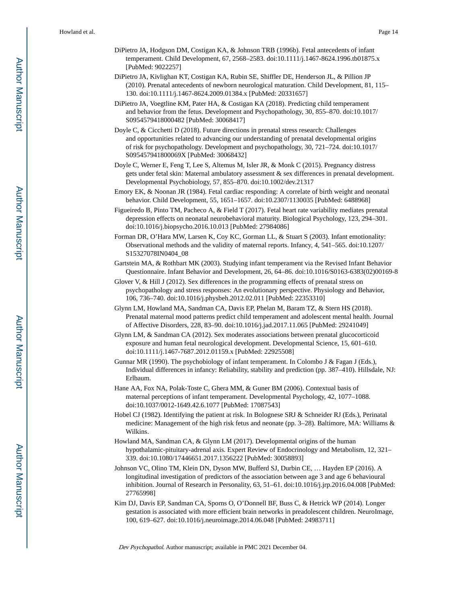- DiPietro JA, Hodgson DM, Costigan KA, & Johnson TRB (1996b). Fetal antecedents of infant temperament. Child Development, 67, 2568–2583. doi:10.1111/j.1467-8624.1996.tb01875.x [PubMed: 9022257]
- DiPietro JA, Kivlighan KT, Costigan KA, Rubin SE, Shiffler DE, Henderson JL, & Pillion JP (2010). Prenatal antecedents of newborn neurological maturation. Child Development, 81, 115– 130. doi:10.1111/j.1467-8624.2009.01384.x [PubMed: 20331657]
- DiPietro JA, Voegtline KM, Pater HA, & Costigan KA (2018). Predicting child temperament and behavior from the fetus. Development and Psychopathology, 30, 855–870. doi:10.1017/ S0954579418000482 [PubMed: 30068417]
- Doyle C, & Cicchetti D (2018). Future directions in prenatal stress research: Challenges and opportunities related to advancing our understanding of prenatal developmental origins of risk for psychopathology. Development and psychopathology, 30, 721–724. doi:10.1017/ S095457941800069X [PubMed: 30068432]
- Doyle C, Werner E, Feng T, Lee S, Altemus M, Isler JR, & Monk C (2015). Pregnancy distress gets under fetal skin: Maternal ambulatory assessment & sex differences in prenatal development. Developmental Psychobiology, 57, 855–870. doi:10.1002/dev.21317
- Emory EK, & Noonan JR (1984). Fetal cardiac responding: A correlate of birth weight and neonatal behavior. Child Development, 55, 1651–1657. doi:10.2307/1130035 [PubMed: 6488968]
- Figueiredo B, Pinto TM, Pacheco A, & Field T (2017). Fetal heart rate variability mediates prenatal depression effects on neonatal neurobehavioral maturity. Biological Psychology, 123, 294–301. doi:10.1016/j.biopsycho.2016.10.013 [PubMed: 27984086]
- Forman DR, O'Hara MW, Larsen K, Coy KC, Gorman LL, & Stuart S (2003). Infant emotionality: Observational methods and the validity of maternal reports. Infancy, 4, 541–565. doi:10.1207/ S15327078IN0404\_08
- Gartstein MA, & Rothbart MK (2003). Studying infant temperament via the Revised Infant Behavior Questionnaire. Infant Behavior and Development, 26, 64–86. doi:10.1016/S0163-6383(02)00169-8
- Glover V, & Hill J (2012). Sex differences in the programming effects of prenatal stress on psychopathology and stress responses: An evolutionary perspective. Physiology and Behavior, 106, 736–740. doi:10.1016/j.physbeh.2012.02.011 [PubMed: 22353310]
- Glynn LM, Howland MA, Sandman CA, Davis EP, Phelan M, Baram TZ, & Stern HS (2018). Prenatal maternal mood patterns predict child temperament and adolescent mental health. Journal of Affective Disorders, 228, 83–90. doi:10.1016/j.jad.2017.11.065 [PubMed: 29241049]
- Glynn LM, & Sandman CA (2012). Sex moderates associations between prenatal glucocorticoid exposure and human fetal neurological development. Developmental Science, 15, 601–610. doi:10.1111/j.1467-7687.2012.01159.x [PubMed: 22925508]
- Gunnar MR (1990). The psychobiology of infant temperament. In Colombo J & Fagan J (Eds.), Individual differences in infancy: Reliability, stability and prediction (pp. 387–410). Hillsdale, NJ: Erlbaum.
- Hane AA, Fox NA, Polak-Toste C, Ghera MM, & Guner BM (2006). Contextual basis of maternal perceptions of infant temperament. Developmental Psychology, 42, 1077–1088. doi:10.1037/0012-1649.42.6.1077 [PubMed: 17087543]
- Hobel CJ (1982). Identifying the patient at risk. In Bolognese SRJ & Schneider RJ (Eds.), Perinatal medicine: Management of the high risk fetus and neonate (pp. 3–28). Baltimore, MA: Williams & Wilkins.
- Howland MA, Sandman CA, & Glynn LM (2017). Developmental origins of the human hypothalamic-pituitary-adrenal axis. Expert Review of Endocrinology and Metabolism, 12, 321– 339. doi:10.1080/17446651.2017.1356222 [PubMed: 30058893]
- Johnson VC, Olino TM, Klein DN, Dyson MW, Bufferd SJ, Durbin CE, … Hayden EP (2016). A longitudinal investigation of predictors of the association between age 3 and age 6 behavioural inhibition. Journal of Research in Personality, 63, 51–61. doi:10.1016/j.jrp.2016.04.008 [PubMed: 27765998]
- Kim DJ, Davis EP, Sandman CA, Sporns O, O'Donnell BF, Buss C, & Hetrick WP (2014). Longer gestation is associated with more efficient brain networks in preadolescent children. NeuroImage, 100, 619–627. doi:10.1016/j.neuroimage.2014.06.048 [PubMed: 24983711]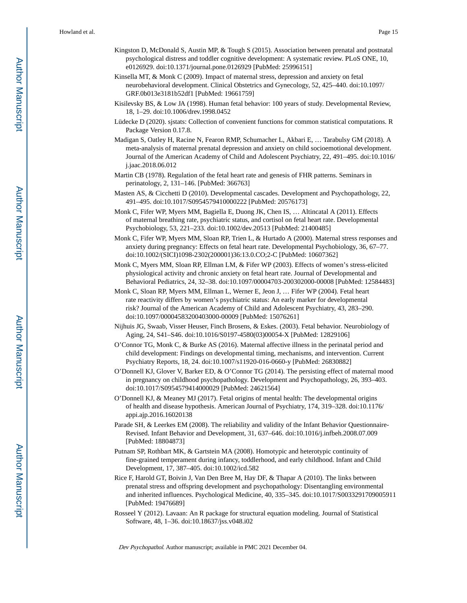- Kingston D, McDonald S, Austin MP, & Tough S (2015). Association between prenatal and postnatal psychological distress and toddler cognitive development: A systematic review. PLoS ONE, 10, e0126929. doi:10.1371/journal.pone.0126929 [PubMed: 25996151]
- Kinsella MT, & Monk C (2009). Impact of maternal stress, depression and anxiety on fetal neurobehavioral development. Clinical Obstetrics and Gynecology, 52, 425–440. doi:10.1097/ GRF.0b013e3181b52df1 [PubMed: 19661759]
- Kisilevsky BS, & Low JA (1998). Human fetal behavior: 100 years of study. Developmental Review, 18, 1–29. doi:10.1006/drev.1998.0452
- Lüdecke D (2020). sjstats: Collection of convenient functions for common statistical computations. R Package Version 0.17.8.
- Madigan S, Oatley H, Racine N, Fearon RMP, Schumacher L, Akbari E, … Tarabulsy GM (2018). A meta-analysis of maternal prenatal depression and anxiety on child socioemotional development. Journal of the American Academy of Child and Adolescent Psychiatry, 22, 491–495. doi:10.1016/ j.jaac.2018.06.012
- Martin CB (1978). Regulation of the fetal heart rate and genesis of FHR patterns. Seminars in perinatology, 2, 131–146. [PubMed: 366763]
- Masten AS, & Cicchetti D (2010). Developmental cascades. Development and Psychopathology, 22, 491–495. doi:10.1017/S0954579410000222 [PubMed: 20576173]
- Monk C, Fifer WP, Myers MM, Bagiella E, Duong JK, Chen IS, … Altincatal A (2011). Effects of maternal breathing rate, psychiatric status, and cortisol on fetal heart rate. Developmental Psychobiology, 53, 221–233. doi:10.1002/dev.20513 [PubMed: 21400485]
- Monk C, Fifer WP, Myers MM, Sloan RP, Trien L, & Hurtado A (2000). Maternal stress responses and anxiety during pregnancy: Effects on fetal heart rate. Developmental Psychobiology, 36, 67–77. doi:10.1002/(SICI)1098-2302(200001)36:13.0.CO;2-C [PubMed: 10607362]
- Monk C, Myers MM, Sloan RP, Ellman LM, & Fifer WP (2003). Effects of women's stress-elicited physiological activity and chronic anxiety on fetal heart rate. Journal of Developmental and Behavioral Pediatrics, 24, 32–38. doi:10.1097/00004703-200302000-00008 [PubMed: 12584483]
- Monk C, Sloan RP, Myers MM, Ellman L, Werner E, Jeon J, … Fifer WP (2004). Fetal heart rate reactivity differs by women's psychiatric status: An early marker for developmental risk? Journal of the American Academy of Child and Adolescent Psychiatry, 43, 283–290. doi:10.1097/00004583200403000-00009 [PubMed: 15076261]
- Nijhuis JG, Swaab, Visser Heuser, Finch Brosens, & Eskes. (2003). Fetal behavior. Neurobiology of Aging, 24, S41–S46. doi:10.1016/S0197-4580(03)00054-X [PubMed: 12829106]
- O'Connor TG, Monk C, & Burke AS (2016). Maternal affective illness in the perinatal period and child development: Findings on developmental timing, mechanisms, and intervention. Current Psychiatry Reports, 18, 24. doi:10.1007/s11920-016-0660-y [PubMed: 26830882]
- O'Donnell KJ, Glover V, Barker ED, & O'Connor TG (2014). The persisting effect of maternal mood in pregnancy on childhood psychopathology. Development and Psychopathology, 26, 393–403. doi:10.1017/S0954579414000029 [PubMed: 24621564]
- O'Donnell KJ, & Meaney MJ (2017). Fetal origins of mental health: The developmental origins of health and disease hypothesis. American Journal of Psychiatry, 174, 319–328. doi:10.1176/ appi.ajp.2016.16020138
- Parade SH, & Leerkes EM (2008). The reliability and validity of the Infant Behavior Questionnaire-Revised. Infant Behavior and Development, 31, 637–646. doi:10.1016/j.infbeh.2008.07.009 [PubMed: 18804873]
- Putnam SP, Rothbart MK, & Gartstein MA (2008). Homotypic and heterotypic continuity of fine-grained temperament during infancy, toddlerhood, and early childhood. Infant and Child Development, 17, 387–405. doi:10.1002/icd.582
- Rice F, Harold GT, Boivin J, Van Den Bree M, Hay DF, & Thapar A (2010). The links between prenatal stress and offspring development and psychopathology: Disentangling environmental and inherited influences. Psychological Medicine, 40, 335–345. doi:10.1017/S0033291709005911 [PubMed: 19476689]
- Rosseel Y (2012). Lavaan: An R package for structural equation modeling. Journal of Statistical Software, 48, 1–36. doi:10.18637/jss.v048.i02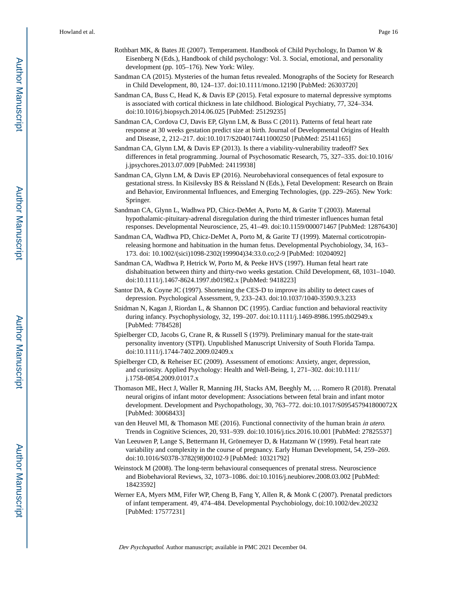- Rothbart MK, & Bates JE (2007). Temperament. Handbook of Child Psychology, In Damon W & Eisenberg N (Eds.), Handbook of child psychology: Vol. 3. Social, emotional, and personality development (pp. 105–176). New York: Wiley.
- Sandman CA (2015). Mysteries of the human fetus revealed. Monographs of the Society for Research in Child Development, 80, 124–137. doi:10.1111/mono.12190 [PubMed: 26303720]
- Sandman CA, Buss C, Head K, & Davis EP (2015). Fetal exposure to maternal depressive symptoms is associated with cortical thickness in late childhood. Biological Psychiatry, 77, 324–334. doi:10.1016/j.biopsych.2014.06.025 [PubMed: 25129235]
- Sandman CA, Cordova CJ, Davis EP, Glynn LM, & Buss C (2011). Patterns of fetal heart rate response at 30 weeks gestation predict size at birth. Journal of Developmental Origins of Health and Disease, 2, 212–217. doi:10.1017/S2040174411000250 [PubMed: 25141165]
- Sandman CA, Glynn LM, & Davis EP (2013). Is there a viability-vulnerability tradeoff? Sex differences in fetal programming. Journal of Psychosomatic Research, 75, 327–335. doi:10.1016/ j.jpsychores.2013.07.009 [PubMed: 24119938]
- Sandman CA, Glynn LM, & Davis EP (2016). Neurobehavioral consequences of fetal exposure to gestational stress. In Kisilevsky BS & Reissland N (Eds.), Fetal Development: Research on Brain and Behavior, Environmental Influences, and Emerging Technologies, (pp. 229–265). New York: Springer.
- Sandman CA, Glynn L, Wadhwa PD, Chicz-DeMet A, Porto M, & Garite T (2003). Maternal hypothalamic-pituitary-adrenal disregulation during the third trimester influences human fetal responses. Developmental Neuroscience, 25, 41–49. doi:10.1159/000071467 [PubMed: 12876430]
- Sandman CA, Wadhwa PD, Chicz-DeMet A, Porto M, & Garite TJ (1999). Maternal corticotropinreleasing hormone and habituation in the human fetus. Developmental Psychobiology, 34, 163– 173. doi: 10.1002/(sici)1098-2302(199904)34:33.0.co;2-9 [PubMed: 10204092]
- Sandman CA, Wadhwa P, Hetrick W, Porto M, & Peeke HVS (1997). Human fetal heart rate dishabituation between thirty and thirty-two weeks gestation. Child Development, 68, 1031–1040. doi:10.1111/j.1467-8624.1997.tb01982.x [PubMed: 9418223]
- Santor DA, & Coyne JC (1997). Shortening the CES-D to improve its ability to detect cases of depression. Psychological Assessment, 9, 233–243. doi:10.1037/1040-3590.9.3.233
- Snidman N, Kagan J, Riordan L, & Shannon DC (1995). Cardiac function and behavioral reactivity during infancy. Psychophysiology, 32, 199–207. doi:10.1111/j.1469-8986.1995.tb02949.x [PubMed: 7784528]
- Spielberger CD, Jacobs G, Crane R, & Russell S (1979). Preliminary manual for the state-trait personality inventory (STPI). Unpublished Manuscript University of South Florida Tampa. doi:10.1111/j.1744-7402.2009.02409.x
- Spielberger CD, & Reheiser EC (2009). Assessment of emotions: Anxiety, anger, depression, and curiosity. Applied Psychology: Health and Well-Being, 1, 271–302. doi:10.1111/ j.1758-0854.2009.01017.x
- Thomason ME, Hect J, Waller R, Manning JH, Stacks AM, Beeghly M, … Romero R (2018). Prenatal neural origins of infant motor development: Associations between fetal brain and infant motor development. Development and Psychopathology, 30, 763–772. doi:10.1017/S095457941800072X [PubMed: 30068433]
- van den Heuvel MI, & Thomason ME (2016). Functional connectivity of the human brain in utero. Trends in Cognitive Sciences, 20, 931–939. doi:10.1016/j.tics.2016.10.001 [PubMed: 27825537]
- Van Leeuwen P, Lange S, Bettermann H, Grönemeyer D, & Hatzmann W (1999). Fetal heart rate variability and complexity in the course of pregnancy. Early Human Development, 54, 259–269. doi:10.1016/S0378-3782(98)00102-9 [PubMed: 10321792]
- Weinstock M (2008). The long-term behavioural consequences of prenatal stress. Neuroscience and Biobehavioral Reviews, 32, 1073–1086. doi:10.1016/j.neubiorev.2008.03.002 [PubMed: 18423592]
- Werner EA, Myers MM, Fifer WP, Cheng B, Fang Y, Allen R, & Monk C (2007). Prenatal predictors of infant temperament. 49, 474–484. Developmental Psychobiology, doi:10.1002/dev.20232 [PubMed: 17577231]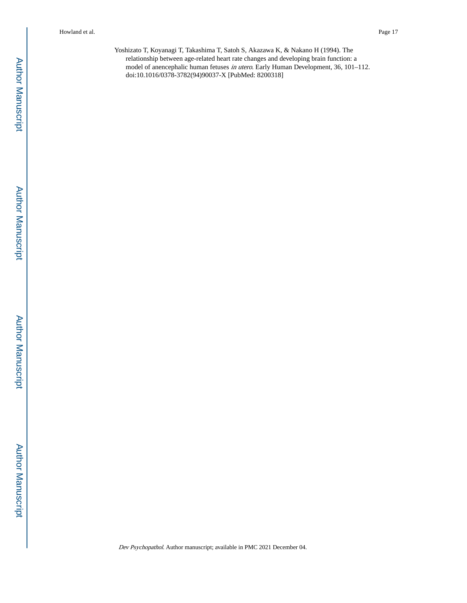Yoshizato T, Koyanagi T, Takashima T, Satoh S, Akazawa K, & Nakano H (1994). The relationship between age-related heart rate changes and developing brain function: a model of anencephalic human fetuses in utero. Early Human Development, 36, 101–112. doi:10.1016/0378-3782(94)90037-X [PubMed: 8200318]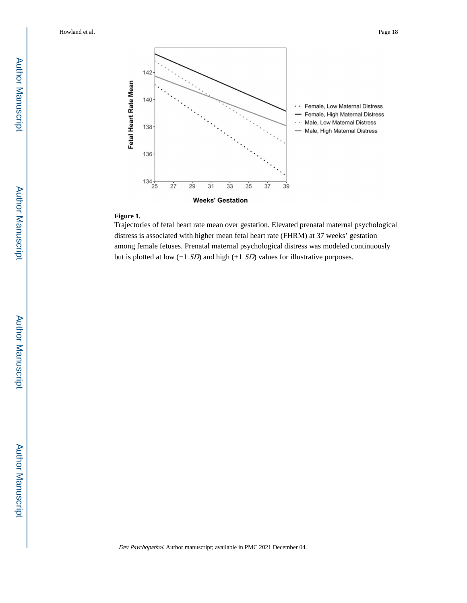

#### **Figure 1.**

Trajectories of fetal heart rate mean over gestation. Elevated prenatal maternal psychological distress is associated with higher mean fetal heart rate (FHRM) at 37 weeks' gestation among female fetuses. Prenatal maternal psychological distress was modeled continuously but is plotted at low (−1 SD) and high (+1 SD) values for illustrative purposes.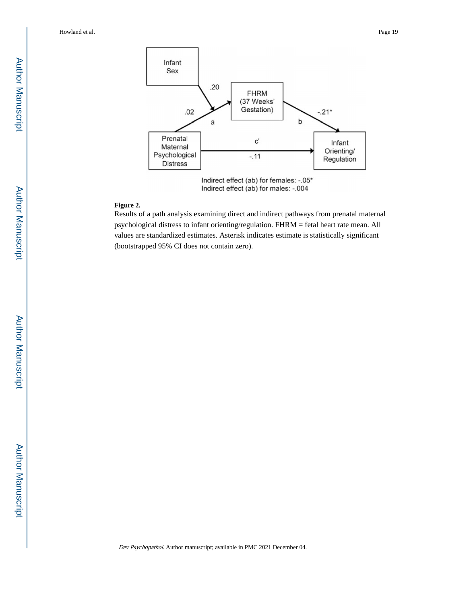

#### **Figure 2.**

Results of a path analysis examining direct and indirect pathways from prenatal maternal psychological distress to infant orienting/regulation. FHRM = fetal heart rate mean. All values are standardized estimates. Asterisk indicates estimate is statistically significant (bootstrapped 95% CI does not contain zero).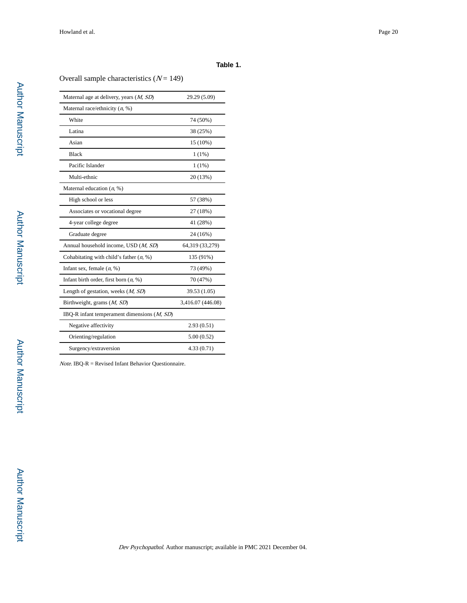#### **Table 1.**

Overall sample characteristics  $(N = 149)$ 

| Maternal age at delivery, years $(M, SD)$     | 29.29 (5.09)      |
|-----------------------------------------------|-------------------|
| Maternal race/ethnicity $(n, %)$              |                   |
| White                                         | 74 (50%)          |
| Latina                                        | 38 (25%)          |
| Asian                                         | 15 (10%)          |
| <b>Black</b>                                  | $1(1\%)$          |
| Pacific Islander                              | $1(1\%)$          |
| Multi-ethnic                                  | 20 (13%)          |
| Maternal education $(n, %)$                   |                   |
| High school or less                           | 57 (38%)          |
| Associates or vocational degree               | 27 (18%)          |
| 4-year college degree                         | 41 (28%)          |
| Graduate degree                               | 24 (16%)          |
| Annual household income, USD (M, SD)          | 64,319 (33,279)   |
| Cohabitating with child's father $(n, %)$     | 135 (91%)         |
| Infant sex, female $(n, %)$                   | 73 (49%)          |
| Infant birth order, first born $(n, %)$       | 70 (47%)          |
| Length of gestation, weeks $(M, SD)$          | 39.53 (1.05)      |
| Birthweight, grams $(M, SD)$                  | 3,416.07 (446.08) |
| IBQ-R infant temperament dimensions $(M, SD)$ |                   |
| Negative affectivity                          | 2.93(0.51)        |
| Orienting/regulation                          | 5.00(0.52)        |
| Surgency/extraversion                         | 4.33(0.71)        |
|                                               |                   |

 $Note. IBQ-R = Revised Infant Behavior Questionnaire.$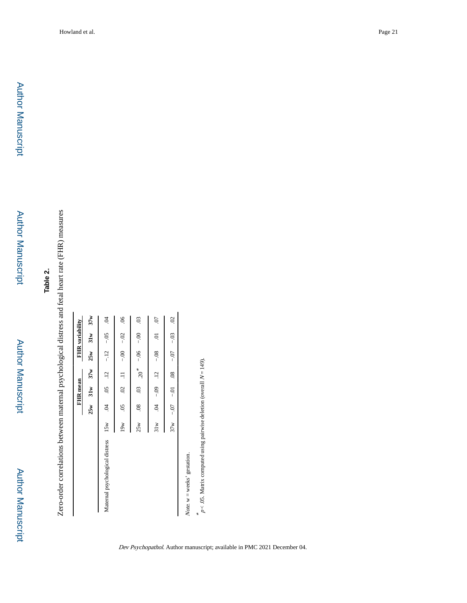Author Manuscript

**Author Manuscript** 

Zero-order correlations between maternal psychological distress and fetal heart rate (FHR) measures Zero-order correlations between maternal psychological distress and fetal heart rate (FHR) measures

|                                                             |     |                              | FHR mean          |                                         | FHR variability       |                |
|-------------------------------------------------------------|-----|------------------------------|-------------------|-----------------------------------------|-----------------------|----------------|
|                                                             |     |                              | $25w$ $31w$ $37w$ |                                         | $25w$ $31w$ $37w$     |                |
| Maternal psychological distress 15w .04 .05 .12 -12 -05 .04 |     |                              |                   |                                         |                       |                |
|                                                             | 19w |                              |                   | $0.05$ $0.00 - 11$ $0.00 - 0.00$ $0.06$ |                       |                |
|                                                             | 25w |                              |                   | $00 - 30$ $0.6 - 80$ . 80               |                       | 03             |
|                                                             |     | $10.04 - 0.09 - 12 = 0.08$   |                   |                                         |                       | $\overline{C}$ |
|                                                             |     | $37w$ - 0.0 - 0.0 - 0.0 $80$ |                   |                                         | $-0.07 - 0.03 - 0.02$ |                |
|                                                             |     |                              |                   |                                         |                       |                |

 $Note. w = weeks' gestation.$ Note.  $w =$  weeks' gestation.

\*  $p$  < .05. Matrix computed using pairwise deletion (overall  $N = 149$ .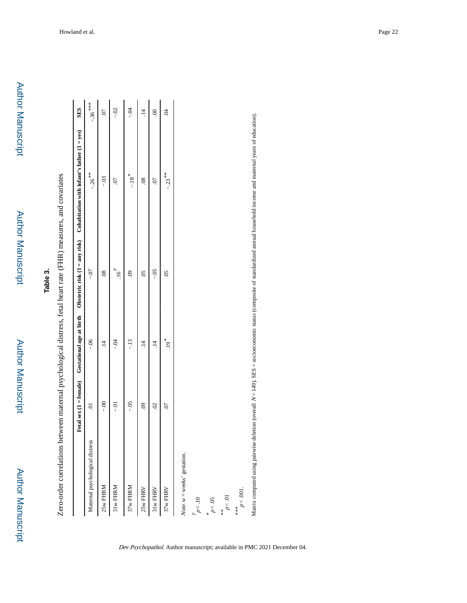Author Manuscript

Author Manuscript

# **Table 3.**

Zero-order correlations between maternal psychological distress, fetal heart rate (FHR) measures, and covariates Zero-order correlations between maternal psychological distress, fetal heart rate (FHR) measures, and covariates

|                                 | Fetal sex $(1 = female)$ | Gestational age at birth | Obstetric risk $(1 = any risk)$ | Cohabitation with infant's father $(1 = yes)$                                                                                                                                 | <b>SES</b>     |
|---------------------------------|--------------------------|--------------------------|---------------------------------|-------------------------------------------------------------------------------------------------------------------------------------------------------------------------------|----------------|
| Maternal psychological distress | $\overline{0}$           | $-0.06$                  | $-0$                            | $-26$ <sup>**</sup>                                                                                                                                                           | $-.36***$      |
| 25w FHRM                        | $-00$                    | $\vec{=}$                | $\overline{0}$                  | $-0.3$                                                                                                                                                                        | $\overline{C}$ |
| 31w FHRM                        | $-0$                     | $-0.4$                   | $\overline{16}$                 | $\overline{C}$                                                                                                                                                                | $-0.02$        |
| 37w FHRM                        | $-0.5$                   | $-13$                    | $\ddot{\mathrm{S}}$             | $-.18$ <sup>*</sup>                                                                                                                                                           | $-0.4$         |
| 25w FHRV                        | S.                       | $\ddot{=}$               | $\overline{5}$                  | $\overline{0}$                                                                                                                                                                | $\ddot{=}$     |
| 31w FHRV                        | $\widetilde{\omega}$     | $\vec{=}$                | $-0.5$                          | $\overline{0}$                                                                                                                                                                | $\odot$        |
| 37w FHRV                        | $\overline{C}$           | $.19*$                   | $\overline{5}$                  | $-23$ <sup>**</sup>                                                                                                                                                           | S.             |
| Note, $w =$ weeks' gestation.   |                          |                          |                                 |                                                                                                                                                                               |                |
| $p<10$                          |                          |                          |                                 |                                                                                                                                                                               |                |
| $p<.05$                         |                          |                          |                                 |                                                                                                                                                                               |                |
| $p\!<\!.01$<br>**               |                          |                          |                                 |                                                                                                                                                                               |                |
| $p<.001.$<br>***                |                          |                          |                                 |                                                                                                                                                                               |                |
|                                 |                          |                          |                                 | Matrix computed using pairwise deletion (overall $N = 149$ ). SES = socioeconomic status (composite of standardized annual household income and maternal years of education). |                |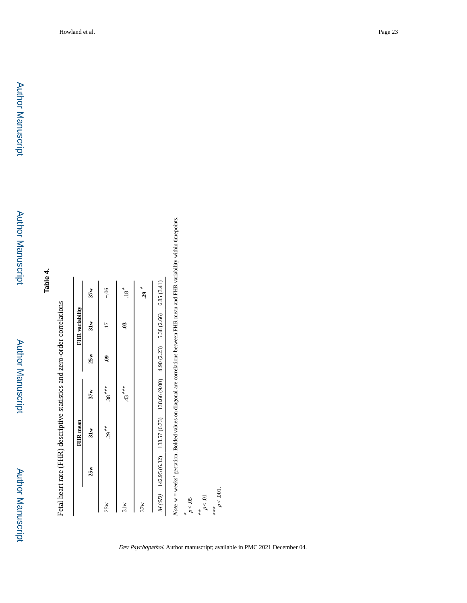# **Table 4.**

Fetal heart rate (FHR) descriptive statistics and zero-order correlations Fetal heart rate (FHR) descriptive statistics and zero-order correlations

| Note, $w = weeks'$ gestation. Bolded values on diagonal are correlations between FHR mean and FHR va<br>$M(SD)$ 142.95 (6.32) 138.57 (6.73) 138.66 (9.00) 4.90 (2.23) 5.38 (2.66) 6.85 (3.41)<br>$.29$ $*$<br>$-06$<br>$\cdot$ 18 $^*$<br>37w<br>31w<br>S<br>25w<br>ತಿ<br>$38***$<br>$43***$<br>37w<br>$29***$<br>31w<br>25w<br>25w<br>31w<br>37w |  | FHR mean |  | FHR variability |  |
|---------------------------------------------------------------------------------------------------------------------------------------------------------------------------------------------------------------------------------------------------------------------------------------------------------------------------------------------------|--|----------|--|-----------------|--|
|                                                                                                                                                                                                                                                                                                                                                   |  |          |  |                 |  |
|                                                                                                                                                                                                                                                                                                                                                   |  |          |  |                 |  |
|                                                                                                                                                                                                                                                                                                                                                   |  |          |  |                 |  |
|                                                                                                                                                                                                                                                                                                                                                   |  |          |  |                 |  |
|                                                                                                                                                                                                                                                                                                                                                   |  |          |  |                 |  |
|                                                                                                                                                                                                                                                                                                                                                   |  |          |  |                 |  |

-<br>variability within timepoints. Note. w = weeks' gestation. Bolded values on diagonal are correlations between FHR mean and FHR variability within timepoints.

 $p < .05$ <br>\*\*<br> $p < .01$ <br> $p < .01$  $p < .001$ .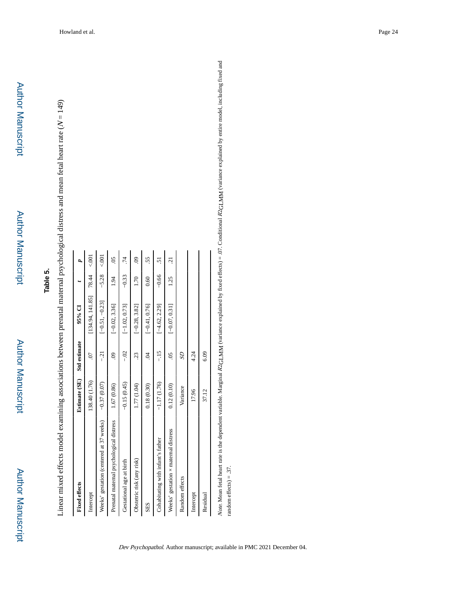Author Manuscript

Author Manuscript

## **Table 5.**

Linear mixed effects model examining associations between prenatal maternal psychological distress and mean fetal heart rate ( Linear mixed effects model examining associations between prenatal maternal psychological distress and mean fetal heart rate  $(N = 149)$ 

| <b>Fixed effects</b>                        | Estimate (SE) | <b>Std</b> estimate | 95% CI                   |         | p                         |
|---------------------------------------------|---------------|---------------------|--------------------------|---------|---------------------------|
| Intercept                                   | 138.40 (1.76) | $\tilde{\omega}$    | $[134.94, 141.85]$ 78.44 |         | $\rm \frac{5}{2}$         |
| Weeks' gestation (centered at 37 weeks)     | $-0.37(0.07)$ | $-21$               | $[-0.51, -0.23]$         | $-5.28$ | $\epsilon$ .001           |
| Prenatal maternal psychological distress    | 1.67 (0.86)   | $\mathbf{S}$        | $[-0.02, 3.36]$          | 1.94    | $\widetilde{\mathrm{SO}}$ |
| Gestational age at birth                    | $-0.15(0.45)$ | $-0.2$              | $[-1.02, 0.73]$          | $-0.33$ | .74                       |
| Obstetric risk (any risk)                   | 1.77 (1.04)   | S.                  | $[-0.28, 3.82]$          | 1.70    | S.                        |
| SES                                         | 0.18(0.30)    | S.                  | $[-0.41, 0.76]$          | 0.60    | 55.                       |
| Cohabitating with infant's father           | $-1.17(1.76)$ | $-15$               | $[-4.62, 2.29]$          | $-0.66$ | 51                        |
| Weeks' gestation $\times$ maternal distress | 0.12(0.10)    | SO.                 | $[-0.07, 0.31]$          | 1.25    | $\overline{c}$            |
| Random effects                              | Variance      | S <sub>2</sub>      |                          |         |                           |
| Intercept                                   | 17.96         | 4.24                |                          |         |                           |
| Residual                                    | 37.12         | 6.09                |                          |         |                           |
|                                             |               |                     |                          |         |                           |

Note. Mean fetal heart rate is the dependent variable. Marginal R2GLMM (variance explained by fixed effects) = .07. Conditional R2GLMM (variance explained by entire model, including fixed and R2GLMM (variance explained by entire model, including fixed and  $R2$ GLMM (variance explained by fixed effects) = .07. Conditional Note. Mean fetal heart rate is the dependent variable. Marginal random effects) = .37. random effects) = .37.